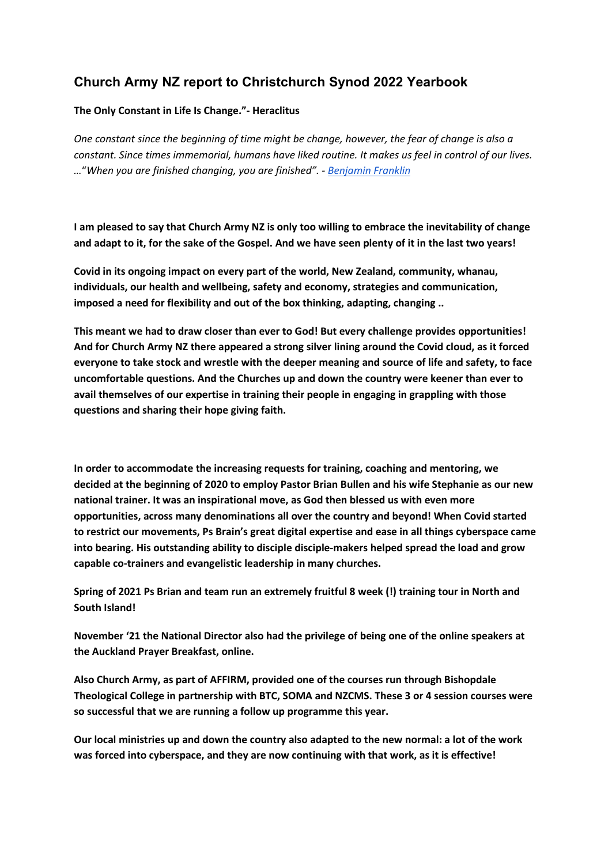## **Church Army NZ report to Christchurch Synod 2022 Yearbook**

## **The Only Constant in Life Is Change."- Heraclitus**

*One constant since the beginning of time might be change, however, the fear of change is also a constant. Since times immemorial, humans have liked routine. It makes us feel in control of our lives. …*"*When you are finished changing, you are finished". [-](https://arapahoelibraries.bibliocommons.com/v2/search?query=benjamin%20franklin&searchType=keyword&f_AUDIENCE=adult) [Benjamin Franklin](https://arapahoelibraries.bibliocommons.com/v2/search?query=benjamin%20franklin&searchType=keyword&f_AUDIENCE=adult)*

**I am pleased to say that Church Army NZ is only too willing to embrace the inevitability of change and adapt to it, for the sake of the Gospel. And we have seen plenty of it in the last two years!**

**Covid in its ongoing impact on every part of the world, New Zealand, community, whanau, individuals, our health and wellbeing, safety and economy, strategies and communication, imposed a need for flexibility and out of the box thinking, adapting, changing ..**

**This meant we had to draw closer than ever to God! But every challenge provides opportunities! And for Church Army NZ there appeared a strong silver lining around the Covid cloud, as it forced everyone to take stock and wrestle with the deeper meaning and source of life and safety, to face uncomfortable questions. And the Churches up and down the country were keener than ever to avail themselves of our expertise in training their people in engaging in grappling with those questions and sharing their hope giving faith.**

**In order to accommodate the increasing requests for training, coaching and mentoring, we decided at the beginning of 2020 to employ Pastor Brian Bullen and his wife Stephanie as our new national trainer. It was an inspirational move, as God then blessed us with even more opportunities, across many denominations all over the country and beyond! When Covid started to restrict our movements, Ps Brain's great digital expertise and ease in all things cyberspace came into bearing. His outstanding ability to disciple disciple-makers helped spread the load and grow capable co-trainers and evangelistic leadership in many churches.**

**Spring of 2021 Ps Brian and team run an extremely fruitful 8 week (!) training tour in North and South Island!**

**November '21 the National Director also had the privilege of being one of the online speakers at the Auckland Prayer Breakfast, online.**

**Also Church Army, as part of AFFIRM, provided one of the courses run through Bishopdale Theological College in partnership with BTC, SOMA and NZCMS. These 3 or 4 session courses were so successful that we are running a follow up programme this year.**

**Our local ministries up and down the country also adapted to the new normal: a lot of the work was forced into cyberspace, and they are now continuing with that work, as it is effective!**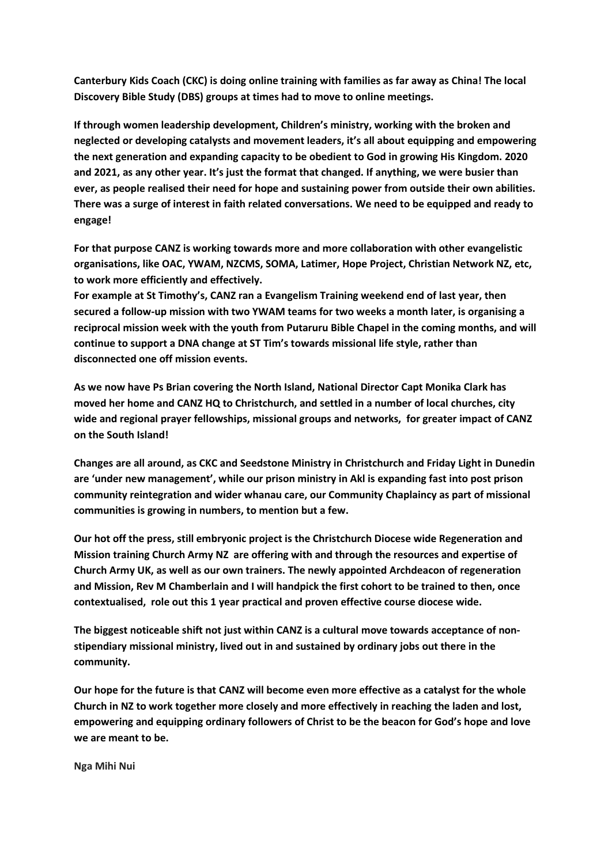**Canterbury Kids Coach (CKC) is doing online training with families as far away as China! The local Discovery Bible Study (DBS) groups at times had to move to online meetings.**

**If through women leadership development, Children's ministry, working with the broken and neglected or developing catalysts and movement leaders, it's all about equipping and empowering the next generation and expanding capacity to be obedient to God in growing His Kingdom. 2020 and 2021, as any other year. It's just the format that changed. If anything, we were busier than ever, as people realised their need for hope and sustaining power from outside their own abilities. There was a surge of interest in faith related conversations. We need to be equipped and ready to engage!**

**For that purpose CANZ is working towards more and more collaboration with other evangelistic organisations, like OAC, YWAM, NZCMS, SOMA, Latimer, Hope Project, Christian Network NZ, etc, to work more efficiently and effectively.** 

**For example at St Timothy's, CANZ ran a Evangelism Training weekend end of last year, then secured a follow-up mission with two YWAM teams for two weeks a month later, is organising a reciprocal mission week with the youth from Putaruru Bible Chapel in the coming months, and will continue to support a DNA change at ST Tim's towards missional life style, rather than disconnected one off mission events.**

**As we now have Ps Brian covering the North Island, National Director Capt Monika Clark has moved her home and CANZ HQ to Christchurch, and settled in a number of local churches, city wide and regional prayer fellowships, missional groups and networks, for greater impact of CANZ on the South Island!**

**Changes are all around, as CKC and Seedstone Ministry in Christchurch and Friday Light in Dunedin are 'under new management', while our prison ministry in Akl is expanding fast into post prison community reintegration and wider whanau care, our Community Chaplaincy as part of missional communities is growing in numbers, to mention but a few.**

**Our hot off the press, still embryonic project is the Christchurch Diocese wide Regeneration and Mission training Church Army NZ are offering with and through the resources and expertise of Church Army UK, as well as our own trainers. The newly appointed Archdeacon of regeneration and Mission, Rev M Chamberlain and I will handpick the first cohort to be trained to then, once contextualised, role out this 1 year practical and proven effective course diocese wide.**

**The biggest noticeable shift not just within CANZ is a cultural move towards acceptance of nonstipendiary missional ministry, lived out in and sustained by ordinary jobs out there in the community.**

**Our hope for the future is that CANZ will become even more effective as a catalyst for the whole Church in NZ to work together more closely and more effectively in reaching the laden and lost, empowering and equipping ordinary followers of Christ to be the beacon for God's hope and love we are meant to be.**

**Nga Mihi Nui**